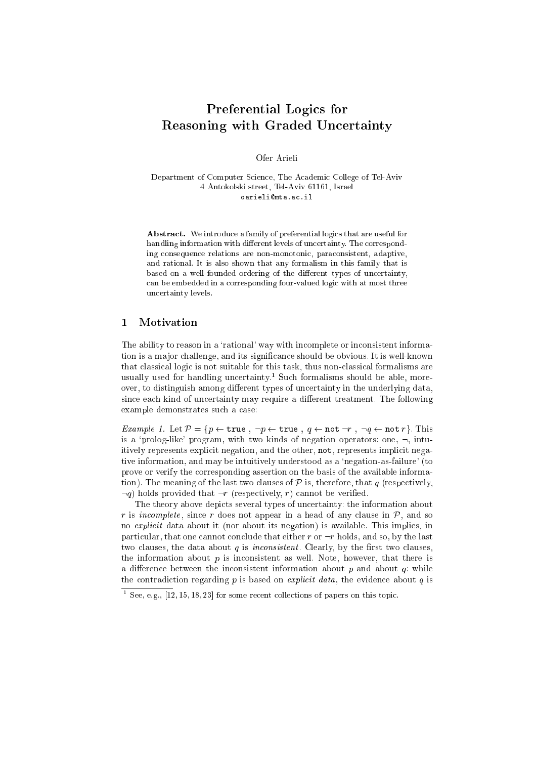# s for the form of the state of the state of the state of the state of the state of the state of the state of the Reasoning with Graded Un
ertainty

Ofer Arieli

Department of Computer Science, The Academic College of Tel-Aviv 4 Antokolski street, Tel-Aviv 61161, Israel oarielimta.a
.il

Abstract. We introduce a family of preferential logics that are useful for handling information with different levels of uncertainty. The corresponding onsequen
e relations are non-monotoni
, para
onsistent, adaptive, and rational. It is also shown that any formalism in this family that is based on a well-founded ordering of the different types of uncertainty, an be embedded in a orresponding four-valued logi with at most three un
ertainty levels.

### 1Motivation

The ability to reason in a 'rational' way with incomplete or inconsistent information is a major challenge, and its significance should be obvious. It is well-known that classical logic is not suitable for this task, thus non-classical formalisms are usually used for handling uncertainty. Such formalisms should be able, moreover, to distinguish among different types of uncertainty in the underlying data, since each kind of uncertainty may require a different treatment. The following example demonstrates such a case:

Example 1. Let <sup>P</sup> = <sup>f</sup>p true ; :p true ; q not :r ; :q not rg. This is a 'prolog-like' program, with two kinds of negation operators: one,  $\neg$ , intuitively represents explicit negation, and the other, not, represents implicit negative information, and may be intuitively understood as a 'negation-as-failure' (to prove or verify the orresponding assertion on the basis of the available information). The meaning of the last two clauses of  $P$  is, therefore, that q (respectively,  $\neg q$ ) holds provided that  $\neg r$  (respectively, r) cannot be verified.

The theory above depicts several types of uncertainty: the information about r is interesting the singlet of any order the sound of any sound of any sound of any sound of any sound of any no explicit data about it (nor about its negation) is available. This implies, in particular, that one cannot conclude that either r or  $\neg r$  holds, and so, by the last two clauses, the data about  $q$  is *inconsistent*. Clearly, by the first two clauses, the information about  $p$  is inconsistent as well. Note, however, that there is a difference between the inconsistent information about  $p$  and about  $q$ : while the contradiction regarding  $p$  is based on *explicit data*, the evidence about  $q$  is

See, e.g.,  $[12, 15, 18, 25]$  for some recent conections of papers on this topic.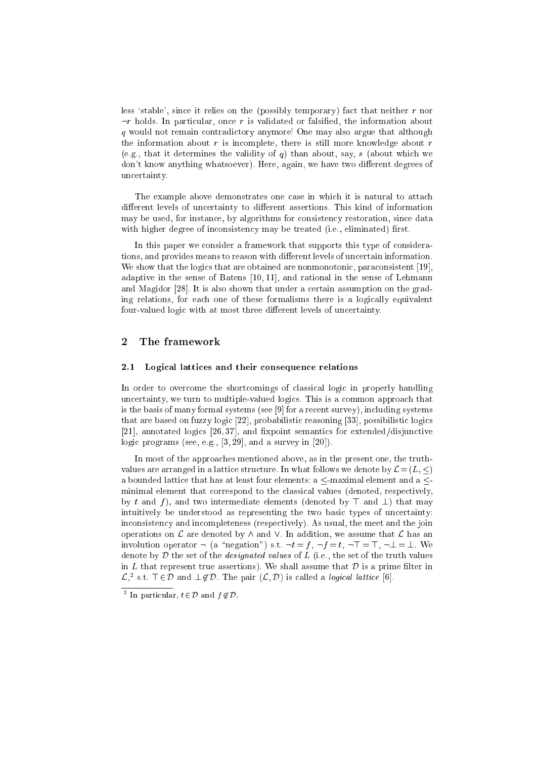less 'stable', since it relies on the (possibly temporary) fact that neither  $r$  nor  $\neg r$  holds. In particular, once r is validated or falsified, the information about q would not remain ontradi
tory anymore! One may also argue that although the information about  $r$  is incomplete, there is still more knowledge about  $r$ (e.g., that it determines the validity of q) than about, say, s (about which we don't know anything whatsoever). Here, again, we have two different degrees of un
ertainty.

The example above demonstrates one case in which it is natural to attach different levels of uncertainty to different assertions. This kind of information may be used, for instance, by algorithms for consistency restoration, since data with higher degree of inconsistency may be treated (i.e., eliminated) first.

In this paper we consider a framework that supports this type of considerations, and provides means to reason with different levels of uncertain information. We show that the logics that are obtained are nonmonotonic, paraconsistent  $[19]$ , adaptive in the sense of Batens  $[10, 11]$ , and rational in the sense of Lehmann and Magidor [28]. It is also shown that under a certain assumption on the grading relations, for each one of these formalisms there is a logically equivalent four-valued logic with at most three different levels of uncertainty.

## 2The framework

#### 2.1Logical lattices and their consequence relations

In order to overcome the shortcomings of classical logic in properly handling uncertainty, we turn to multiple-valued logics. This is a common approach that is the basis of many formal systems (see [9] for a recent survey), including systems that are based on fuzzy logic [22], probabilistic reasoning [33], possibilistic logics [21], annotated logics  $[26, 37]$ , and fixpoint semantics for extended/disjunctive logic programs (see, e.g.,  $[3, 29]$ , and a survey in  $[20]$ ).

In most of the approaches mentioned above, as in the present one, the truthvalues are arranged in a lattice structure. In what follows we denote by  $\mathcal{L} = (L, \leq)$ a bounded lattice that has at least four elements:  $a \le$ -maximal element and  $a \le$ minimal element that correspond to the classical values (denoted, respectively, by t and f), and two intermediate elements (denoted by  $\top$  and  $\bot$ ) that may intuitively be understood as representing the two basic types of uncertainty: inconsistency and incompleteness (respectively). As usual, the meet and the join operations on  $\mathcal L$  are denoted by  $\wedge$  and  $\vee$ . In addition, we assume that  $\mathcal L$  has an involution operator  $\neg$  (a "negation") s.t.  $\neg t = f$ ,  $\neg f = t$ ,  $\neg T = T$ ,  $\neg \bot = \bot$ . We denote by  $D$  the set of the *designated values* of  $L$  (i.e., the set of the truth values in L that represent true assertions). We shall assume that  $D$  is a prime filter in  $\mathcal{L}$ , s.t.  $\top \in D$  and  $\bot \notin D$ . The pair  $(\mathcal{L}, D)$  is called a *logical lattice* [0].

In particular,  $t \in D$  and  $\eta \notin D$ .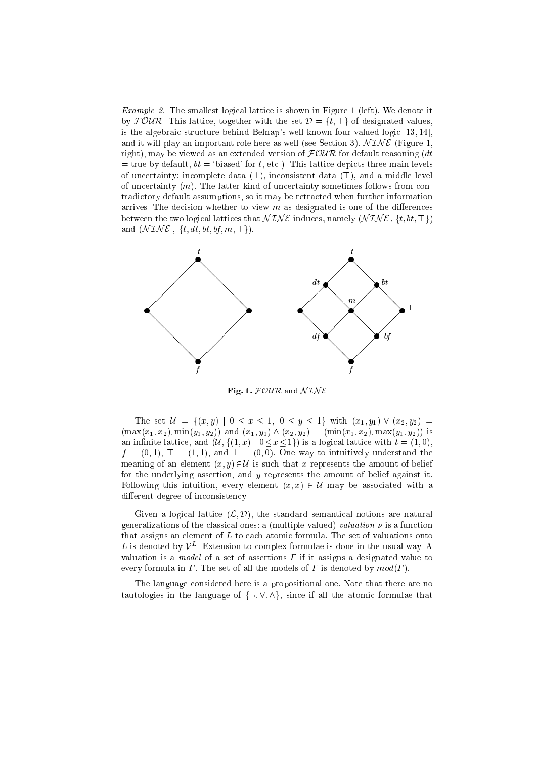example 2. The smallest logical control is shown in Figure 1 (left). We denote it by  $\mathcal{FOUR}$ . This lattice, together with the set  $\mathcal{D} = \{t, \top\}$  of designated values, is the algebraic structure behind Belnap's well-known four-valued logic [13, 14], and it will play an important role here as well (see Section 3).  $NTNE$  (Figure 1, right), may be viewed as an extended version of  $FOUR$  for default reasoning  $(dt$  $=$  true by default,  $bt = 'biased'$  for t, etc.). This lattice depicts three main levels of uncertainty: incomplete data  $(\perp)$ , inconsistent data  $(\top)$ , and a middle level of uncertainty  $(m)$ . The latter kind of uncertainty sometimes follows from contradi
tory default assumptions, so it may be retra
ted when further information arrives. The decision whether to view  $m$  as designated is one of the differences between the two logical lattices that  $NTNE$  induces, namely  $(NINE, \{t, bt, \top\})$ and  $(\mathcal{N} \mathcal{I} \mathcal{N} \mathcal{E}, \{t, dt, bt, bf, m, \top\}).$ 



Fig. 1.  $FOUR$  and  $NTNE$ 

The set  $\mathcal{U} = \{(x, y) | 0 \le x \le 1, 0 \le y \le 1\}$  with  $(x_1, y_1) \vee (x_2, y_2) =$  $(\max(x_1, x_2), \min(y_1, y_2))$  and  $(x_1, y_1) \wedge (x_2, y_2) = (\min(x_1, x_2), \max(y_1, y_2))$  is an infinite lattice, and  $(\mathcal{U}, \{(1, x) | 0 \le x \le 1\})$  is a logical lattice with  $t = (1, 0)$ ,  $f$  ,  $\mathcal{S}$  ,  $\mathcal{S}$  ,  $\mathcal{S}$  ,  $\mathcal{S}$  ,  $\mathcal{S}$  ,  $\mathcal{S}$  ,  $\mathcal{S}$  ,  $\mathcal{S}$  ,  $\mathcal{S}$  ,  $\mathcal{S}$  , and the interstand the interstand the interstand the interstand the interstand the interstand the interst meaning of an element  $(x, y) \in \mathcal{U}$  is such that x represents the amount of belief for the underlying assertion, and <sup>y</sup> represents the amount of belief against it. Following this intuition, every element  $(x, x) \in \mathcal{U}$  may be associated with a different degree of inconsistency.

Given a logical lattice  $(\mathcal{L}, \mathcal{D})$ , the standard semantical notions are natural generalizations of the classical ones: a (multiple-valued) valuation  $\nu$  is a function that assigns an element of  $L$  to each atomic formula. The set of valuations onto  $L$  is denoted by  $V^-$ . Extension to complex formulae is done in the usual way. A valuation is a *model* of a set of assertions  $\Gamma$  if it assigns a designated value to every formula in  $\Gamma$ . The set of all the models of  $\Gamma$  is denoted by  $mod(\Gamma)$ .

The language onsidered here is a propositional one. Note that there are no tautologies in the language of  $\{\neg, \vee, \wedge\}$ , since if all the atomic formulae that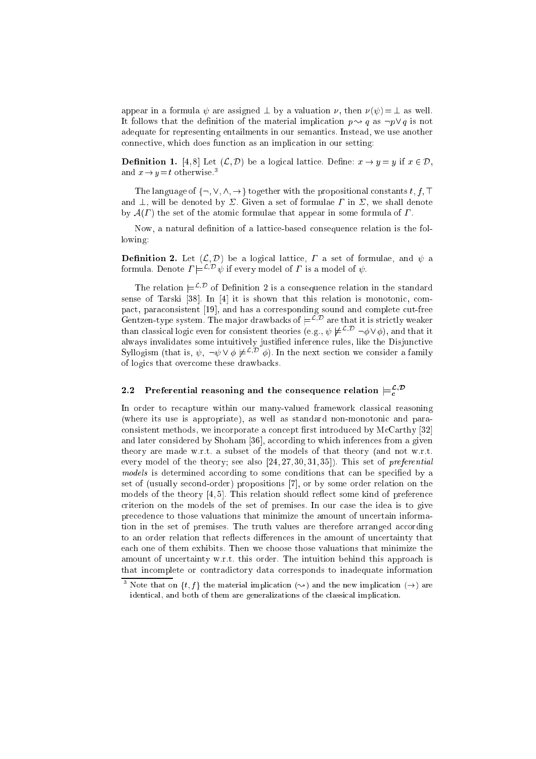appear in a formula  $\psi$  are assigned  $\bot$  by a valuation  $\nu$ , then  $\nu(\psi) = \bot$  as well. It follows that the definition of the material implication  $p \rightarrow q$  as  $\neg p \lor q$  is not adequate for representing entailments in our semantics. Instead, we use another onne
tive, whi
h does fun
tion as an impli
ation in our setting:

Denition 1. [4, 8℄ Let (L; D) be <sup>a</sup> logi
al latti
e. Dene: <sup>x</sup> ! <sup>y</sup> <sup>=</sup> <sup>y</sup> if <sup>x</sup> <sup>2</sup> D, and  $x \rightarrow y = t$  otherwise.<sup>3</sup>

The language of  $\{\neg, \vee, \wedge, \rightarrow\}$  together with the propositional constants  $t, f, \top$ and  $\perp$ , will be denoted by  $\Sigma$ . Given a set of formulae  $\Gamma$  in  $\Sigma$ , we shall denote by  $A(\Gamma)$  the set of the atomic formulae that appear in some formula of  $\Gamma$ .

Now, a natural definition of a lattice-based consequence relation is the following:

e concerte et ett (A) al lattique control et al al lattice in decomposition and a formula. Denote  $I \models \neg \psi$  if every model of  $I$  is a model of  $\psi$ .

I he relation  $\equiv$   $\sim$  or Definition 2 is a consequence relation in the standard sense of Tarski [38]. In  $[4]$  it is shown that this relation is monotonic, compact, paraconsistent [19], and has a corresponding sound and complete cut-free Gentzen-type system. The major drawbacks of  $\equiv$   $\sim$  are that it is strictly weaker  $\liminf$  classical logic even for consistent theories (e.g.,  $\psi \not\equiv^{\sim} \neg \varphi \vee \varphi$ ), and that it always invalidates some intuitively justied inferen
e rules, like the Disjun
tive Synogism (that is,  $\psi$ ,  $\neg \psi \lor \varphi \not\models \neg \psi$ ). In the next section we consider a family of logi
s that over
ome these drawba
ks.

# 2.2Preferential reasoning and the consequence relation  $\models^{\mathcal{L}, \mathcal{D}}_{\mathcal{L}}$

In order to recapture within our many-valued framework classical reasoning (where its use is appropriate), as well as standard non-monotonic and paraconsistent methods, we incorporate a concept first introduced by McCarthy [32] and later considered by Shoham [36], according to which inferences from a given theory are made w.r.t. a subset of the models of that theory (and not w.r.t. every model of the theory; see also  $[24, 27, 30, 31, 35]$ . This set of *preferential* models is determined a

ording to some onditions that an be spe
ied by a set of (usually second-order) propositions [7], or by some order relation on the models of the theory  $[4,5]$ . This relation should reflect some kind of preference riterion on the models of the set of premises. In our ase the idea is to give precedence to those valuations that minimize the amount of uncertain information in the set of premises. The truth values are therefore arranged according to an order relation that reflects differences in the amount of uncertainty that ea
h one of them exhibits. Then we hoose those valuations that minimize the amount of uncertainty w.r.t. this order. The intuition behind this approach is that in
omplete or ontradi
tory data orresponds to inadequate information

The vector of  $\{t, f\}$  the material implication  $(\leadsto)$  and the new implication  $(\rightarrow)$  are identical, and both of them are generalizations of the classical implication.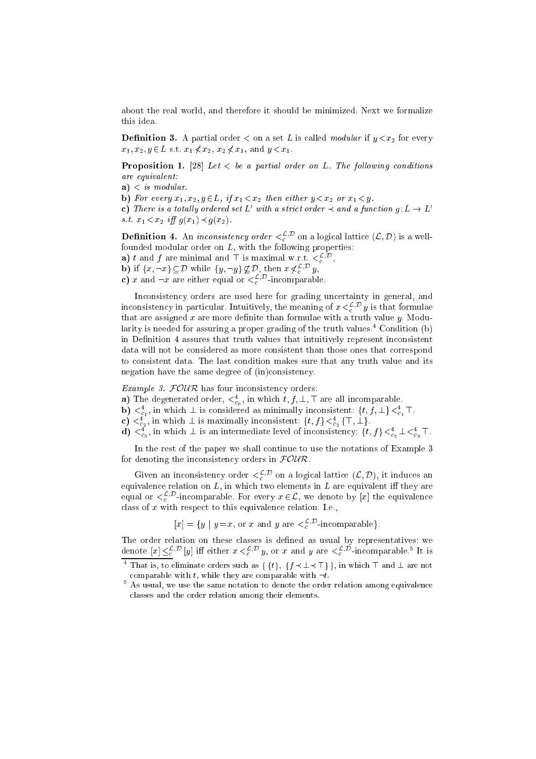about the real world, and therefore it should be minimized. Next we formalize this idea.

 $\equiv$  -construction order that if y can also the set construction of  $\mu$  ,  $\sim$   $\mu$  for every  $x_1, x_2, y \in L$  s.t.  $x_1 \nless x_2, x_2 \nless x_1$ , and  $y < x_1$ .

Proposition 1. [28℄ Let <sup>&</sup>lt; be <sup>a</sup> partial order on L. The fol lowing onditions are equivalent:

- a) <sup>&</sup>lt; is modular.
- $\mathcal{F}$  for every  $\mathcal{F}$  . In all,  $\mathcal{F}$  if  $\mathcal{F}$  is a set of  $\mathcal{F}$  , we are the substitution of  $\mathcal{F}$

**c**) Inere is a totally ordered set L with a strict order  $\prec$  and a function  $q: L \to L$ s.t. x1 < x2 <sup>i</sup> g(x1)g(x2).

**Demition 4.** An *inconsistency order*  $\leq_c^{\infty}$  on a logical lattice  $(L, D)$  is a wellfounded modular order on  $L$ , with the following properties:

**a**)  $\iota$  and  $\jmath$  are minimal and  $\top$  is maximal w.r.t.  $\leq_{c}$   $\vdots$  ,

- **b**) if  $\{x, \neg x\} \subseteq D$  while  $\{y, \neg y\} \not\subseteq D$ , then  $x \not\leq_c$ ; y,
- c) x and  $\neg x$  are either equal or  $\leq_c$ . Incomparable.

Inconsistency orders are used here for grading uncertainty in general, and inconsistency in particular. Intuitively, the meaning of  $x \leq_c y$  is that formulae that are assigned x are more definite than formulae with a truth value y. Modularity is needed for assuring a proper grading of the truth values.<sup>4</sup> Condition (b) in Definition 4 assures that truth values that intuitively represent inconsistent data will not be considered as more consistent than those ones that correspond to onsistent data. The last ondition makes sure that any truth value and its negation have the same degree of  $(in)$ consistency.

Example 3. FOUR has four in
onsisten
y orders:

- **a)** The degenerated order,  $\lt_{c_0}$ , in which  $t, f, \perp$ ,  $\perp$  are all incomparable.
- $\mathbf{b}$ )  $\langle \xi_1, \xi_2 \rangle$  in which  $\pm$  is considered as minimally inconsistent:  $\{i, j, \pm\} \langle \xi_1, \xi_2 \rangle$
- ${\bf c}$ )  $\leq_{c_2}$ , in which  $\perp$  is maximally inconsistent:  $\{t, J\} \leq_{c_2} \{ +, \perp \}$ .
- $\mathbf{d}$ )  $\mathbf{S}_{c_3}$ , in which  $\perp$  is an intermediate level of inconsistency:  $\{t, J\} \mathbf{S}_{c_3} \perp \mathbf{S}_{c_4}$ .

In the rest of the paper we shall ontinue to use the notations of Example 3 for denoting the inconsistency orders in  $\mathcal{FOUR}$ .

Given an inconsistency order  $\leqslant_c^+$  on a logical lattice  $(\mathcal{L},\mathcal{D}),$  it induces an equivalence relation on  $L$ , in which two elements in  $L$  are equivalent iff they are equal or  $\leq_c^2$ , -incomparable. For every  $x \in \mathcal{L}$ , we denote by [x] the equivalence class of  $x$  with respect to this equivalence relation. I.e.,

 $[x] = \{y \mid y = x, \text{ or } x \text{ and } y \text{ are } \leq_c^{\infty}$ . Incomparable  $\}$ .

The order relation on these lasses is dened as usual by representatives: we denote  $[x] \leq_{c}^{p+1} [y]$  in either  $x \leq_{c}^{p+1} y$ , or x and y are  $\leq_{c}^{p+1}$ -incomparable. It is

That is, to eliminate orders such as  $\{ \{t\}, \{t\} \prec \bot \prec \bot \}$ , in which  $\bot$  and  $\bot$  are not comparable with  $t$ , while they are comparable with  $\neg t$ .

 $^\circ$  As usual, we use the same notation to denote the order relation among equivalence lasses and the order relation among their elements.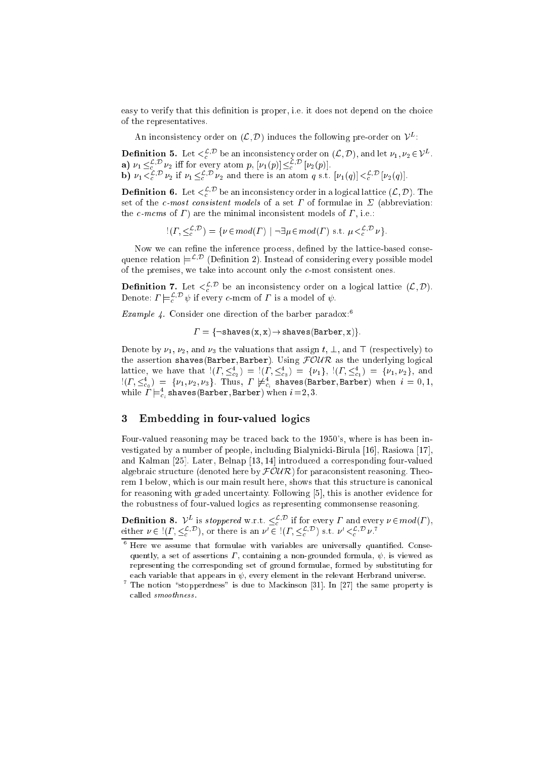easy to verify that this definition is proper, *i.e.* it does not depend on the choice of the representatives.

An inconsistency order on  $(L, D)$  induces the following pre-order on  $V^-$ :

**Definition 5.** Let  $\leqslant$   $\varepsilon$ <sup>, b</sup> be an inconsistency order on  $(L, D)$ , and let  $\nu_1, \nu_2 \in V^-$ . **a**)  $\nu_1 \leq c$   $\cdots \leq c_2$  in for every atom p,  $\nu_1(p) \leq c$   $\nu_2(p)$ . **b**)  $\nu_1 \leq c$   $\nu_2$  if  $\nu_1 \leq c$   $\nu_2$  and there is an atom q s.t.  $\nu_1(q) \leq c$   $\nu_2(q)$ .

**Definition 6.** Let  $\leqslant_{c}^{\infty}$  be an inconsistency order in a logical lattice  $(\mathcal{L}, \mathcal{D}).$  The set of the *c*-most consistent models of a set  $\Gamma$  of formulae in  $\Sigma$  (abbreviation: the c-mcms of  $\Gamma$ ) are the minimal inconsistent models of  $\Gamma$ , i.e.:

 $\mu(L, \leq_{c}^{c})^{\perp}$  = { $\nu \in mod(L)$  |  $\neg \exists \mu \in mod(L)$  s.t.  $\mu \leq_{c}^{c}$   $\neg \nu$  }.

Now we can refine the inference process, defined by the lattice-based conse $q$ uence relation  $\rightleftharpoons$  (Definition 2). Instead of considering every possible model of the premises, we take into account only the  $c$ -most consistent ones.

**Demition 7.** Let  $\leqslant$   $\frac{1}{c}$ , be an inconsistency order on a logical lattice  $(L, D)$ . Denote:  $I = e^{i\theta}$  if every c-mean of I is a model of  $\psi$ .

 $\emph{Example 4.}$  Consider one direction of the barber paradox:

= f:shaves(in), x) = f:shaves(Barber; x); x)

Denote by  $\nu_1, \nu_2$ , and  $\nu_3$  the valuations that assign t,  $\bot$ , and  $\top$  (respectively) to the assertion shaves (Barber, Barber). Using  $\text{FOUR}$  as the underlying logical lattice, we have that  $(1, \leq_{c_2}) = (1, \leq_{c_3}) = \{v_1\}, (1, \leq_{c_1}) = \{v_1, v_2\},$  and  $\mathbb{P}(I_1,\leq_{c_0}^-)=\{\nu_1,\nu_2,\nu_3\}$ . Inus,  $I_1\not\equiv_{c_i}^-$  shaves(Barber, Barber) when  $i=0,1,2$ while  $I\models_{c_i}$  shaves(Barber, Barber) when  $i=$  2, 3.

# 3Embedding in four-valued logi
s

Four-valued reasoning may be traced back to the 1950's, where is has been investigated by a number of people, including Bialynicki-Birula  $[16]$ , Rasiowa  $[17]$ , and Kalman [25]. Later, Belnap [13,14] introduced a corresponding four-valued algebraic structure (denoted here by  $FOUR$ ) for paraconsistent reasoning. Theorem 1 below, which is our main result here, shows that this structure is canonical for reasoning with graded uncertainty. Following [5], this is another evidence for the robustness of four-valued logi
s as representing ommonsense reasoning.

**Definition 8.**  $V^-$  is stoppered w.r.t.  $\leq_C^{\sim}$  if for every 1 and every  $\nu \in \text{mod}(I)$ , either  $\nu \in \{1, \leq_{c'}^{-1}\}$ , or there is an  $\nu \in \{1, \leq_{c'}^{-1}\}$  s.t.  $\nu \leq_{c'}^{-1} \nu$ .

there we assume that formulae with variables are universally quantified. Consequently, a set of assertions  $\Gamma$ , containing a non-grounded formula,  $\psi$ , is viewed as representing the orresponding set of ground formulae, formed by substituting for each variable that appears in  $\psi$ , every element in the relevant Herbrand universe.

The notion "stopperdness" is due to Mackinson [31]. In [27] the same property is alled smoothness .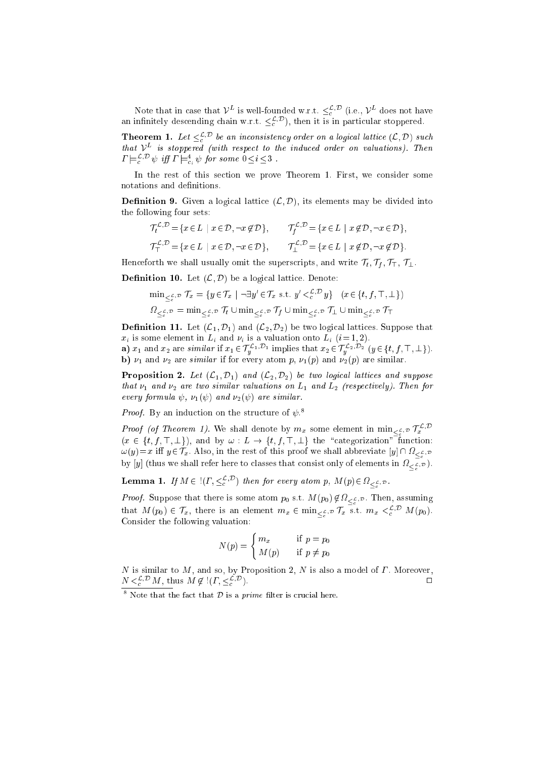Note that in case that  $V^-$  is well-founded w.r.t.  $\leq_c^P$  (i.e.,  $V^-$  does not have an innificity descending chain w.r.t.  $\leq_c^{\sim}$  ), then it is in particular stoppered.

**Theorem 1.** Let  $\leq_c^{\sim}$  be an inconsistency order on a logical lattice  $(L, D)$  such  $_{\small\textrm{that}}$   $_{V^-}$  is stoppered (with respect to the induced order on valuations). Then  $I \models_c^{\neg} \forall$  if  $I \models_{c_i}^{\neg} \psi$  for some  $0 \leq i \leq \delta$ .

In the rest of this se
tion we prove Theorem 1. First, we onsider some notations and definitions.

e (Little 20. Given a long-til lattice) into the divided into the second into the divided into the second the following four sets:

$$
\mathcal{T}_t^{\mathcal{L}, \mathcal{D}} = \{ x \in L \mid x \in \mathcal{D}, \neg x \notin \mathcal{D} \}, \qquad \mathcal{T}_f^{\mathcal{L}, \mathcal{D}} = \{ x \in L \mid x \notin \mathcal{D}, \neg x \in \mathcal{D} \},
$$
  

$$
\mathcal{T}_T^{\mathcal{L}, \mathcal{D}} = \{ x \in L \mid x \in \mathcal{D}, \neg x \in \mathcal{D} \}, \qquad \mathcal{T}_\perp^{\mathcal{L}, \mathcal{D}} = \{ x \in L \mid x \notin \mathcal{D}, \neg x \notin \mathcal{D} \}.
$$

Henceforth we shall usually omit the superscripts, and write  $\mathcal{T}_t, \mathcal{T}_f, \mathcal{T}_\top, \mathcal{T}_\bot$ .

Denition 10. Let (L; D) be <sup>a</sup> logi
al latti
e. Denote:

$$
\min_{\leq \frac{\mathcal{E}}{c}, \mathcal{D}} \mathcal{T}_x = \{ y \in \mathcal{T}_x \mid \neg \exists y' \in \mathcal{T}_x \text{ s.t. } y' < \frac{\mathcal{E}}{c}, \mathcal{D} y \} \quad (x \in \{t, f, \top, \bot\})
$$
\n
$$
\Omega_{\leq \frac{\mathcal{E}}{c}, \mathcal{D}} = \min_{\leq \frac{\mathcal{E}}{c}, \mathcal{D}} \mathcal{T}_t \cup \min_{\leq \frac{\mathcal{E}}{c}, \mathcal{D}} \mathcal{T}_f \cup \min_{\leq \frac{\mathcal{E}}{c}, \mathcal{D}} \mathcal{T}_\bot \cup \min_{\leq \frac{\mathcal{E}}{c}, \mathcal{D}} \mathcal{T}_\top
$$

 $\blacksquare$  . Suppose that  $\blacksquare$  and  $\blacksquare$  and  $\blacksquare$  also logically that  $\blacksquare$  are two logical contracts to the two logic  $\blacksquare$  $x_i$  is some element in  $L_i$  and  $\nu_i$  is a valuation onto  $L_i$   $(i=1, 2)$ .

**a**)  $x_1$  and  $x_2$  are *similar* if  $x_1 \in T_u^{-1, -1}$  implies that  $x_2 \in T_u^{-2, -2}$   $(y \in \{t, f, +, \perp\})$ .  $\alpha$  ) 1 and 2 are similar if for every atom p, 1(p) 1(p) are significant contracts.

r al proposition 2. Let  $\{X_{i}\}_{i=1}^{n}$  and  $\{X_{i}\}_{i=1}^{n}$  be two logical contracts when all proposition that  $1$  and 2 are two similar valuations on  $\pm 1$  and  $\pm 2$  (respectively). Then  $f$  is every formula , 10 and 2012 and 2012 are similar.

*Proof.* By an induction on the structure of  $\psi$ .

*Proof* (of Theorem 1). We shall denote by  $m_x$  some element in  $\min_{\zeta \in \mathcal{P}} |T_x|$ . <sup>x</sup> (x <sup>2</sup> <sup>f</sup>t; f ; >; ?g), and by ! : <sup>L</sup> ! ft; f ; <sup>&</sup>gt;; ?g the \
ategorization" fun
tion:  $\mathcal{L}(\mathcal{Y})=\mathcal{X}$  is the rest of the rest of the proof we shall absolute  $\mathcal{Y}$  . Lie  $\mathcal{Y}$ onsist only of elements in the shall refer to the shall refer to the single construction in the sight  $\lambda$  .

-

**Lemma 1.** If  $M \in \{ (1, \leq_c)^\circ \}$  then for every atom p,  $M(p) \in \Omega_{\leq \frac{p}{2},p}$ .

 $\overline{\phantom{a}}$ 

 $P \rightarrow P$ , suppose that the some atom posses  $P$  of the  $\mathcal{L}(p)$   $\mathcal{L} \rightarrow \mathcal{L}(p)$  , then, assumed that  $M(p_0) \in T_x$ , there is an element  $m_x \in \min_{\zeta \in \zeta} \mathcal{F}_{x}$  is s.t.  $m_x \leq_c^{\infty}$ . M(p<sub>0</sub>). -Consider the following valuation:

$$
N(p) = \begin{cases} m_x & \text{if } p = p_0 \\ M(p) & \text{if } p \neq p_0 \end{cases}
$$

N is similar to M, and so, by Proposition 2, <sup>N</sup> is also a model of . Moreover,  $\Box$  $N \leq_{c}^{N} M$ , thus  $M \notin \{1, \leq_{c}^{N}\}$  $c$  ).  $c$  is a set of  $c$  is a set of  $c$  is a set of  $c$  is a set of  $c$  is a set of  $c$  is a set of  $c$  is a set of  $c$  is a set of  $c$  is a set of  $c$  is a set of  $c$  is a set of  $c$  is a set of  $c$  is a set of  $c$  is

rote that the fact that  $\nu$  is a *prime* filter is crucial here.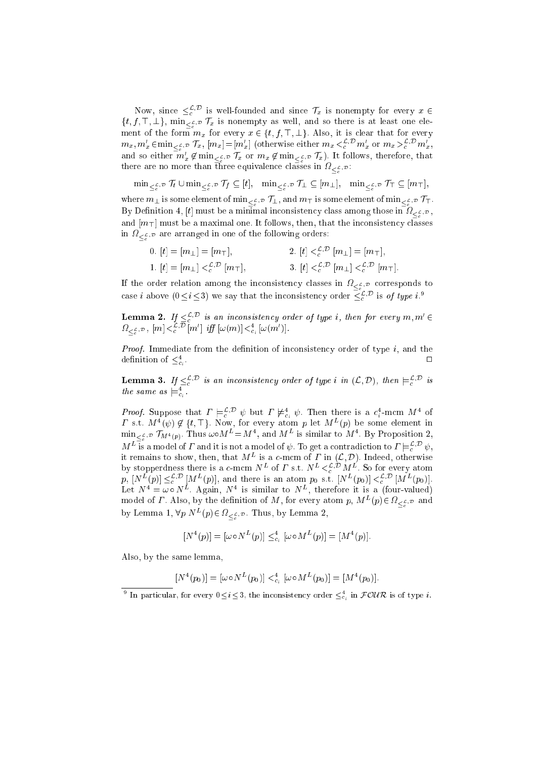Now, since  $\leq_c^c$ . is well-founded and since  $I_x$  is nonempty for every  $x \in$ ft; for its indicate  $f(x)$  is non-minuted as well, and so there is at least one electronic and so the ment of the form m $x$  for every x 2 ft; f ;  $\alpha$  , it is it is it is that form  $\alpha$  $m_x, m_x \in \min_{\leq \varepsilon, \mathcal{P}} |x, |m_x| = |m_x|$  (otherwise either  $m_x < \varepsilon$ )  $m_x$  or  $m_x > \varepsilon$ )  $m_x$ , and so either  $m_x \notin \min_{\zeta \in \mathcal{P}} f_x$  or  $m_x \notin \min_{\zeta \in \mathcal{P}} f_x$ ). It follows, therefore, that there are no more than three equivalence classes in  $\varOmega_{\leq \frac{\rho}{2},\mathcal{D}}$ :

mind state with the state with the state with the state of the state of the state of the state of the state of -where m? is some element of minL;D T?, and m> is some element of minL;D T>. is a mong the among the among the among the among the among the among the among the among the among the among t and in the following one. It follows, the internal one of the internal control that the internal control one in

$$
\begin{aligned}\n0. \ [t] &= [m_\perp] = [m_\top], \\
1. \ [t] &= [m_\perp] <_{c}^{\mathcal{L}, \mathcal{D}} [m_\perp], \\
2. \ [t] <_{c}^{\mathcal{L}, \mathcal{D}} [m_\perp] = [m_\top], \\
3. \ [t] <_{c}^{\mathcal{L}, \mathcal{D}} [m_\perp] <_{c}^{\mathcal{L}, \mathcal{D}} [m_\top].\n\end{aligned}
$$

in List of the following orders: the following orders:  $\alpha$ 

if the order relation among the international complete  $\alpha$  in  $\alpha$   $\beta$  in the substitution of case *i* above  $(0 \le i \le 3)$  we say that the inconsistency order  $\leq^{\mathcal{L}, \mathcal{D}}_{c}$  is of type *i*.<sup>9</sup>

**Lemma 2.** If  $\leq$ <sup>2</sup> is an inconsistency order of type i, then for every m, m  $\in$  $\mathcal{L}_{\leq c}$ ,  $\mathcal{L}_{\leq c}$ ,  $[m]$   $\leq c$ ,  $[m]$   $[y]$   $[\omega(m)]$   $\leq c$ <sub>i</sub>  $[\omega(m)]$ .

Proof. Immediate from the denition of in
onsisten
y order of type i, and the definition of  $\leq_{c_i}$ . <sup>2</sup>

**Lemma 5.** If  $\leq_c$  is an inconsistency order of type i in  $(L, D)$ , then  $\equiv_c$  is the same as  $\equiv_{\alpha}$ .

*Proof.* Suppose that  $I \models_c^c \in \psi$  but  $I \not\models_{c_i}^c \psi$ . Then there is a  $c_i$ -mcm  $M$  or 1 s.t.  $M^-(\psi) \not\in \{t, +\}$ . Now, for every atom p let  $M^-(p)$  be some element in  $\min_{z \in \mathcal{P}} f_M A(p)$ . I hus  $\omega \circ M = M$ ; and  $M$  is similar to  $M$ . By Proposition 2,  $M^L$  is a model of  $\Gamma$  and it is not a model of  $\psi$ . To get a contradiction to  $\Gamma\models_c^{\mathcal{L}, \mathcal{D}}\psi,$ it remains to snow, then, that  $M^-$  is a c-mcm of  $I$  -in  $(\mathcal{L}, \mathcal{D})$ . Indeed, otherwise by stopperdness there is a c-mcm  $N^-$  of T s.t.  $N^- \leq c$ .  $M^-$ . So for every atom  $[p, [N^-(p)] \leq_c^{\infty}]^2 [M^-(p)],$  and there is an atom  $p_0$  s.t.  $[N^-(p_0)] \leq_c^{\infty}]^2 [M^-(p_0)].$ Let  $N^+ = \omega \circ N^-$ . Again,  $N^-$  is similar to  $N^-$ , therefore it is a (four-valued) model of *I* . Also, by the definition of *M*, for every atom *p*,  $M^-(p) \in \Omega_{\leq \frac{p}{p}}$  and by Lemma 1,  $vp \sim (p) \in \Omega_{\leq \frac{p}{2},p}$ . Thus, by Lemma 2,

$$
[N^4(p)] = [\omega \circ N^L(p)] \leq_{c_i}^4 [\omega \circ M^L(p)] = [M^4(p)].
$$

Also, by the same lemma,

- 0

 $[N^-(p_0)] = [\omega \circ N^-(p_0)] \leq_{c_i} [\omega \circ M^-(p_0)] = [M^-(p_0)].$ 

In particular, for every  $0 \le i \le 3$ , the inconsistency order  $\le_{c_i}$  in  $\text{FOLK}$  is of type *i*.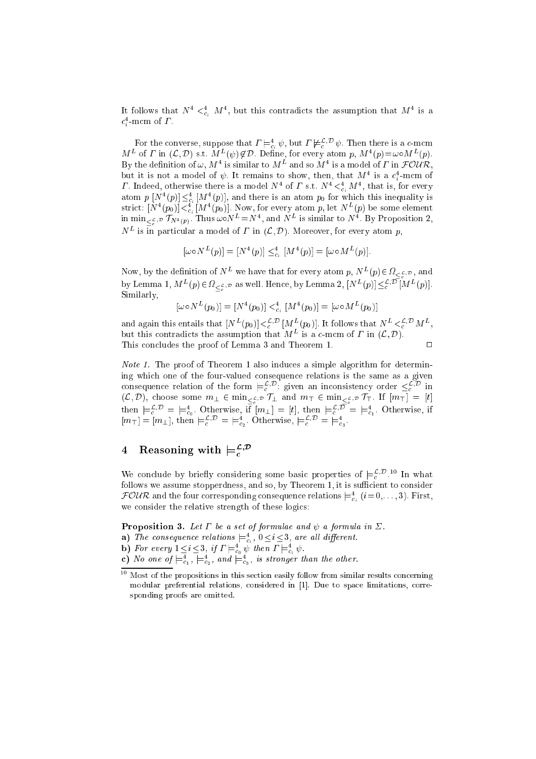It follows that  $N \leq C_{\epsilon_i} M \leq N$ , but this contradicts the assumption that  $M \leq S$  is a  $c_i$ -mcm or  $\scriptstyle I$  .

For the converse, suppose that  $I \models_{e_i} \psi$ , but  $I \not\models_{e'} \neg \psi$ . Then there is a c-mcm  $m$  of  $I$  in  $(L, D)$  s.t.  $m \mid (\psi) \notin D$ . Define, for every atom  $p, m \mid (\psi) = \omega \circ m \mid (\psi)$ . By the definition of  $\omega$ , M<sub>4</sub> is similar to M<sub>4</sub> and so M<sub>4</sub> is a model of F in FOUR, but it is not a model of  $\psi$ . It remains to snow, then, that  $M^+$  is a  $c_i$ -mem of 1. Indeed, otherwise there is a model  $N^+$  of 1 s.t.  $N^+ \leq_{c_i} M^+$ , that is, for every atom  $p \; [\textit{N}^-(p)] \leq_{c_i} [\textit{M}^-(p)],$  and there is an atom  $p_0$  for which this inequality is strict:  $[Y^-(p_0)] <_{c_i} [M^-(p_0)]$ . Now, for every atom p, let  $N^-(p)$  be some element In min<sub> $\leq \frac{p}{c}$ ,  $\mathcal{D} \left[ N^4(p) \right]$ . Thus  $\omega o_N = N^2$ , and  $N^2$  is similar to  $N^2$ . By Proposition 2,</sub>  $N^-$  is in particular a model of  $I$  in  $(L, D)$ . Moreover, for every atom  $p$ ,

$$
[\omega \circ N^{L}(p)] = [N^{4}(p)] \leq_{c_i}^{4} [M^{4}(p)] = [\omega \circ M^{L}(p)].
$$

Now, by the definition of  $N^-$  we have that for every atom  $p, N^-(p) \in \Omega_{\leq \mathcal{L},\mathcal{D}}$  , and by Lemma 1,  $M^L(p) \in \Omega_{\leq \frac{\mathcal{L}}{2},p}$  as well. Hence, by Lemma 2,  $[N^L(p)] \leq_{\mathcal{L}}^{\mathcal{L}}, \overline{\mathcal{D}}[M^L(p)].$ Similarly,

$$
[\omega \circ N^{L}(p_0)] = [N^4(p_0)] <_{c_i}^4 [M^4(p_0)] = [\omega \circ M^{L}(p_0)]
$$

and again this entails that  $[Y^-(p_0)] < \frac{1}{c}$ ,  $[M^-(p_0)]$ . It follows that  $N^- < \frac{1}{c}$ ,  $[M^-, M^-]$ but this contradicts the assumption that  $M^-$  is a c-mem of  $I$  in  $(L, D)$ . This concludes the proof of Lemma 3 and Theorem 1.  $\Box$ 

Note 1. The proof of Theorem 1 also indu
es a simple algorithm for determining whi
h one of the four-valued onsequen
e relations is the same as a given consequence relation of the form  $\models_c^{\rightarrow\rightarrow}$ : given an inconsistency order  $\leq_c^{\rightarrow\rightarrow}$  in لانا الـ الانتاج التي تالي حالي المنتجم العام المنتجم التي تتي تتعامل المنتجم المنتجم المنتجم العام الأربع المحر then  $\models_c^{\mathcal{L}, \mathcal{D}} = \models_{c_0}^4$ . Otherwise, if  $[m_1] = [t]$ , then  $\models_c^{\mathcal{L}, \mathcal{D}} = \models_{c_1}^4$ . Otherwise, if  $[m_{\perp}] = [m_{\perp}],$  then  $\models_{c}$ ;  $\models \models_{c_2}$ . Otherwise,  $\models_{c}$ ;  $\models \models_{c_3}$ .

# 4Reasoning with  $\models_c^{\mathcal{L},\mathcal{D}}$

We conclude by briefly considering some basic properties of  $\equiv_{c}^{\infty}$ . In what follows we assume stopperdness, and so, by Theorem 1, it is sufficient to consider  $_{\mathcal{F}}$ OUR and the four corresponding consequence relations  $\models_{e_i}^{\cdot} (i=0,\ldots,3)$ . First, we consider the relative strength of these logics:

Proposition 3. Let be <sup>a</sup> set of formulae and a formula in .

i

- **a**) The consequence relations  $\equiv_{c}$ ,  $0 \leq i \leq 3$ , are all all event.
- **b**) for every  $1 \leq i \leq 3$ , if  $I \models_{c_0} \psi$  then  $I \models_{c_i} \psi$ .
- **c**) is one of  $\models_{c_1}^{\cdot}, \models_{c_2}^{\cdot},$  and  $\models_{c_3}^{\cdot},$  is stronger than the other.

<sup>10</sup> Most of the propositions in this section easily follow from similar results concerning modular preferential relations, considered in [1]. Due to space limitations, corresponding proofs are omitted.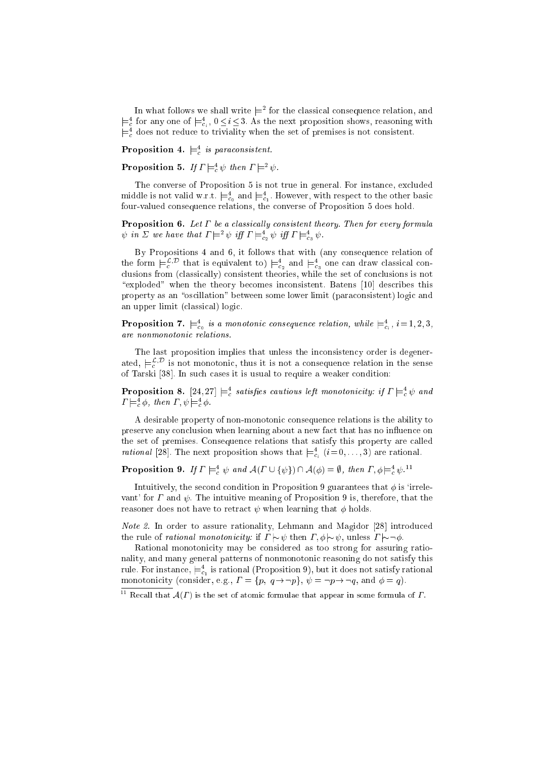In what follows we shall write  $\models^+$  for the classical consequence relation, and  $\models$ <sub>c</sub> for any one of  $\models$ <sub>c<sub>i</sub></sub>,  $0 \le i \le s$ . As the next proposition shows, reasoning with  $\models$  does not reduce to triviality when the set of premises is not consistent.

**Proposition 4.**  $\equiv_c$  is paraconsistent.

**Proposition 5.** If  $I \vDash_{c} \psi$  then  $I \vDash_{c} \psi$ .

The converse of Proposition 5 is not true in general. For instance, excluded middle is not vand w.r.t.  $\models_{c_0}$  and  $\models_{c_1}$ . However, with respect to the other basic four-valued consequence relations, the converse of Proposition 5 does hold.

Proposition 6. Let be <sup>a</sup> lassi
al ly onsistent theory. Then for every formula  $\psi$  in  $\vartriangle$  we have that  $I \models^{\neg} \psi$  iff  $I \models^{\neg}_{c_2} \psi$  iff  $I \models^{\neg}_{c_3} \psi$ .

By Propositions 4 and 6, it follows that with (any onsequen
e relation of the form  $\models_c^e$  that is equivalent to  $\models_{c_2}^e$  and  $\models_{c_3}^e$  one can draw classical con- $\mathbf{I}$  ally is not onsistent the set of one set of one set of one set of one set of one set of one set of one set of one set of one set of one set of one set of one set of one set of one set of one set of one set of one "exploded" when the theory becomes inconsistent. Batens  $[10]$  describes this property as an "oscillation" between some lower limit (paraconsistent) logic and an upper limit (
lassi
al) logi
.

**Proposition** *i*.  $\models_{c_0}^{\sim}$  is a monotonic consequence relation, while  $\models_{c_i}^{\sim}$ ,  $i = 1, 2, 3$ ,

The last proposition implies that unless the inconsistency order is degenerated,  $\equiv$ <sub>c</sub> $\cdot$  is not monotonic, thus it is not a consequence relation in the sense of Tarski [38]. In such cases it is usual to require a weaker condition:

**Proposition 8.** [24,24]  $\equiv$ <sub>c</sub> satisfies cautious left monotonicity: if  $I \equiv$ <sub>c</sub>  $\psi$  and  $I \vDash_{c} \varphi$ , then  $I, \psi \vDash_{c} \varphi$ .

A desirable property of non-monotonic consequence relations is the ability to preserve any on
lusion when learning about a new fa
t that has no in
uen
e on the set of premises. Consequen
e relations that satisfy this property are alled *rational* [28]. The next proposition shows that  $\equiv_{\alpha}^{\infty}$  ( $i = 0, \ldots, 3$ ) are rational.

 $\circ$ 

**Proposition 9.** If  $I \models_{\varepsilon} \psi$  and  $A(I \cup \{\psi\}) \cap A(\psi) = \psi$ , then  $I, \psi \models_{\varepsilon} \psi$ .

Intuitively, the second condition in Proposition 9 guarantees that  $\phi$  is 'irrelevant' for  $\Gamma$  and  $\psi$ . The intuitive meaning of Proposition 9 is, therefore, that the reasoner does not have to retract  $\psi$  when learning that  $\phi$  holds.

Note 2. In order to assure rationality, Lehmann and Magidor [28℄ introdu
ed the rule of *rational monotonicity*: if  $\Gamma \sim \psi$  then  $\Gamma, \phi \sim \psi$ , unless  $\Gamma \sim \neg \phi$ .

Rational monotonicity may be considered as too strong for assuring rationality, and many general patterns of nonmonotonic reasoning do not satisfy this rule. For instance,  $\equiv$   $_{\circ}$  is rational (Proposition 9), but it does not satisfy rational  $-1$ monotoni
ity (
onsider, e.g., = fp; q!:pg, = :p!:q, and = q).

 $\Gamma$  - Recall that  $\mathcal{A}(I)$  is the set of atomic formulae that appear in some formula of  $I$  .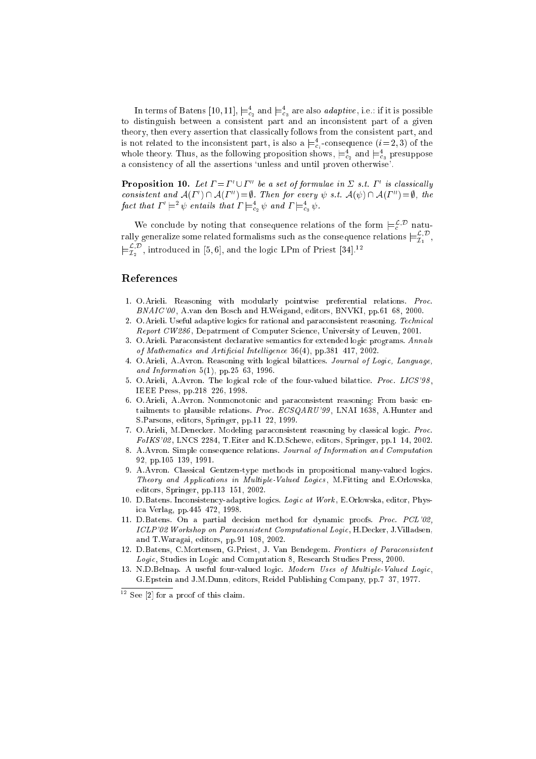In terms of Batens  $[10, 11]$ ,  $\models_{c_2}$  and  $\models_{c_3}$  are also *adaptive*, i.e.: if it is possible to distinguish between a onsistent part and an in
onsistent part of a given theory, then every assertion that classically follows from the consistent part, and is not related to the inconsistent part, is also a  $\equiv$   $\frac{1}{4}$ -consequence  $(i=2,3)$  of the whole theory. Thus, as the following proposition shows,  $\models_{c_2}^4$  and  $\models_{c_3}^4$  presuppose a consistency of all the assertions 'unless and until proven otherwise'.

**Proposition 10.** Let  $I = I \cup I$  be a set of formulae in  $\geq s.t.$  I is classically consistent and  $A(I_-) \cup A(I_-) = \emptyset$ . Then for every  $\psi$  s.t.  $A(\psi) \cup A(I_-) = \emptyset$ , the fact that  $1 \vDash \psi$  entairs that  $1 \vDash_{c_2} \psi$  and  $1 \vDash_{c_3} \psi$ .

We conclude by noting that consequence relations of the form  $\models_c^c$ . naturally generalize some related formalisms such as the consequence relations  $\models_{\mathcal{I}_1}^{\mathcal{I}_2}$  ,  $\models_{\mathcal{I}_2}^{\mathcal{I}_2}$  , introduced in [5, 6], and the logic LPm of Priest [34]. $^{12}$ 

- 1. O.Arieli. Reasoning with modularly pointwise preferential relations. Pro
. BNAIC'00, A.van den Bosch and H.Weigand, editors, BNVKI, pp.61-68, 2000.
- 2. O.Arieli. Useful adaptive logics for rational and paraconsistent reasoning. Technical Report CW286, Depatrment of Computer Science, University of Leuven, 2001.
- 3. O.Arieli. Paraconsistent declarative semantics for extended logic programs. Annals of Mathematics and Artificial Intelligence 36(4), pp.381-417, 2002.
- 4. O.Arieli, A.Avron. Reasoning with logical bilattices. Journal of Logic, Language, and Information  $5(1)$ , pp.25-63, 1996.
- 5. O.Arieli, A.Avron. The logical role of the four-valued bilattice. Proc. LICS'98, IEEE Press, pp.218-226, 1998.
- 6. O.Arieli, A.Avron. Nonmonotoni and para
onsistent reasoning: From basi entailments to plausible relations. Proc. ECSQARU'99, LNAI 1638, A.Hunter and S.Parsons, editors, Springer, pp.11-22, 1999.
- 7. O.Arieli, M.Denecker. Modeling paraconsistent reasoning by classical logic. Proc.  $FoIKS'02$ , LNCS 2284, T. Eiter and K.D. Schewe, editors, Springer, pp. 1–14, 2002.
- 8. A.Avron. Simple onsequen
e relations. Journal of Information and Computation 92, pp.105-139, 1991.
- 9. A.Avron. Classi
al Gentzen-type methods in propositional many-valued logi
s. Theory and Applications in Multiple-Valued Logics, M.Fitting and E.Orlowska, editors, Springer, pp.113-151, 2002.
- 10. D.Batens. Inconsistency-adaptive logics. Logic at Work, E.Orlowska, editor, Physica Verlag, pp. 445-472, 1998.
- 11. D.Batens. On a partial decision method for dynamic proofs. Proc. PCL'02 ICLP'02 Workshop on Paraconsistent Computational Logic, H.Decker, J.Villadsen, and T.Waragai, editors, pp.91-108, 2002.
- 12. D.Batens, C.Mortensen, G.Priest, J. Van Bendegem. Frontiers of Paraconsistent Logic, Studies in Logic and Computation 8, Research Studies Press, 2000.
- 13. N.D.Belnap. A useful four-valued logic. Modern Uses of Multiple-Valued Logic, G.Epstein and J.M.Dunn, editors, Reidel Publishing Company, pp.7-37, 1977.

pee  $|2|$  for a proof of this claim.